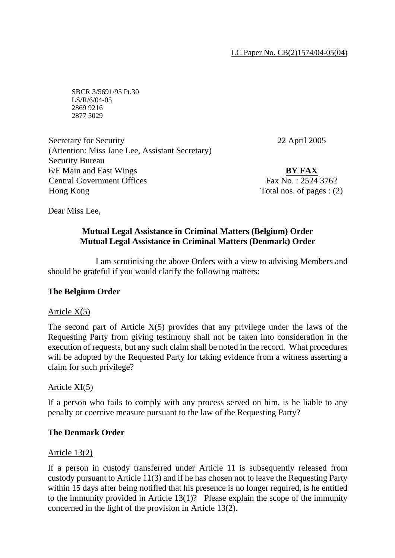SBCR 3/5691/95 Pt.30 LS/R/6/04-05 2869 9216 2877 5029

Secretary for Security (Attention: Miss Jane Lee, Assistant Secretary) Security Bureau 6/F Main and East Wings Central Government Offices Hong Kong

22 April 2005

**BY FAX** Fax No. : 2524 3762 Total nos. of pages : (2)

Dear Miss Lee,

# **Mutual Legal Assistance in Criminal Matters (Belgium) Order Mutual Legal Assistance in Criminal Matters (Denmark) Order**

 I am scrutinising the above Orders with a view to advising Members and should be grateful if you would clarify the following matters:

## **The Belgium Order**

### Article  $X(5)$

The second part of Article  $X(5)$  provides that any privilege under the laws of the Requesting Party from giving testimony shall not be taken into consideration in the execution of requests, but any such claim shall be noted in the record. What procedures will be adopted by the Requested Party for taking evidence from a witness asserting a claim for such privilege?

### Article XI(5)

If a person who fails to comply with any process served on him, is he liable to any penalty or coercive measure pursuant to the law of the Requesting Party?

### **The Denmark Order**

### Article 13(2)

If a person in custody transferred under Article 11 is subsequently released from custody pursuant to Article 11(3) and if he has chosen not to leave the Requesting Party within 15 days after being notified that his presence is no longer required, is he entitled to the immunity provided in Article 13(1)? Please explain the scope of the immunity concerned in the light of the provision in Article 13(2).